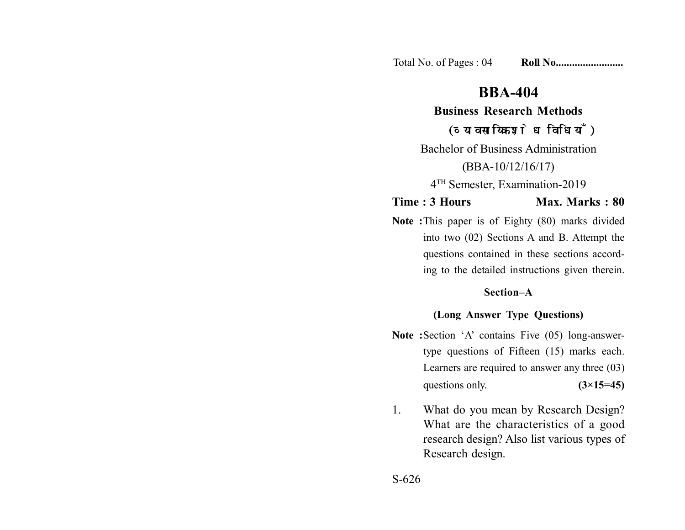Total No. of Pages : 04 **Roll No......................** 

# **BBA-404**

**Business Research Methods**

(व्यावसायिक शोध विधियाँ)

Bachelor of Business Administration (BBA-10/12/16/17)

4TH Semester, Examination-2019

**Time : 3 Hours Max. Marks : 80** 

**Note :**This paper is of Eighty (80) marks divided into two (02) Sections A and B. Attempt the questions contained in these sections according to the detailed instructions given therein.

#### **Section–A**

### **(Long Answer Type Questions)**

- **Note :**Section 'A' contains Five (05) long-answertype questions of Fifteen (15) marks each. Learners are required to answer any three (03) questions only.  $(3\times15=45)$
- 1. What do you mean by Research Design? What are the characteristics of a good research design? Also list various types of Research design.